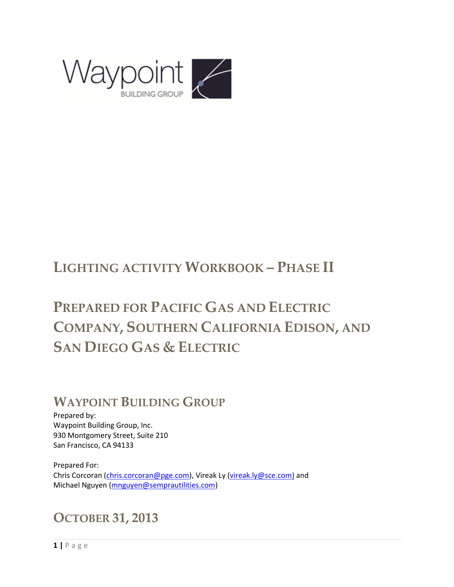

# **LIGHTING ACTIVITY WORKBOOK – PHASE II**

# **PREPARED FOR PACIFIC GAS AND ELECTRIC COMPANY, SOUTHERN CALIFORNIA EDISON, AND SAN DIEGO GAS & ELECTRIC**

# **WAYPOINT BUILDING GROUP**

Prepared by: Waypoint Building Group, Inc. 930 Montgomery Street, Suite 210 San Francisco, CA 94133

Prepared For: Chris Corcoran (*chris.corcoran@pge.com*), Vireak Ly [\(vireak.ly@sce.com\)](mailto:vireak.ly@sce.com) and Michael Nguyen [\(mnguyen@semprautilities.com\)](mailto:mnguyen@semprautilities.com)

# **OCTOBER 31, 2013**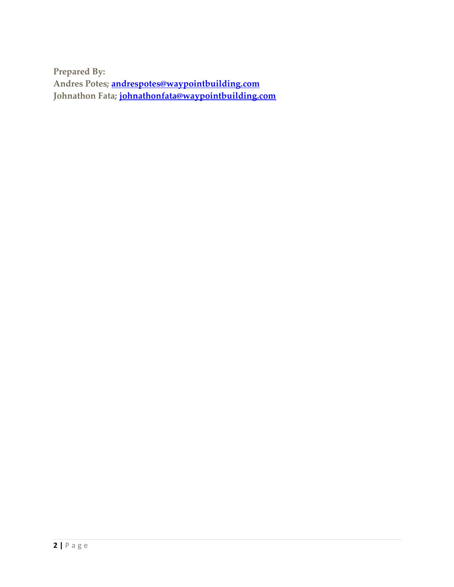**Prepared By: Andres Potes; [andrespotes@waypointbuilding.com](mailto:andrespotes@waypointbuilding.com) Johnathon Fata; johnathonfata@waypointbuilding.com**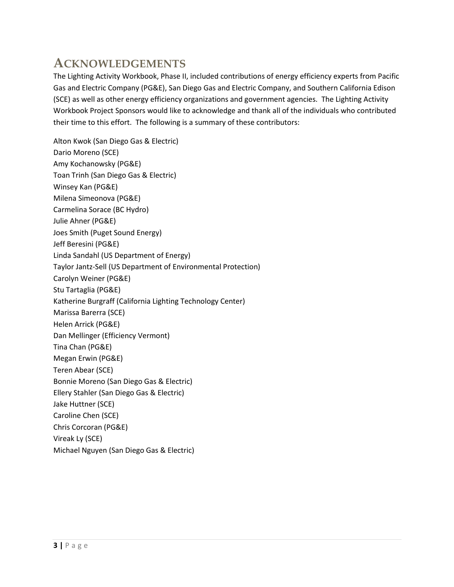## **ACKNOWLEDGEMENTS**

The Lighting Activity Workbook, Phase II, included contributions of energy efficiency experts from Pacific Gas and Electric Company (PG&E), San Diego Gas and Electric Company, and Southern California Edison (SCE) as well as other energy efficiency organizations and government agencies. The Lighting Activity Workbook Project Sponsors would like to acknowledge and thank all of the individuals who contributed their time to this effort. The following is a summary of these contributors:

Alton Kwok (San Diego Gas & Electric) Dario Moreno (SCE) Amy Kochanowsky (PG&E) Toan Trinh (San Diego Gas & Electric) Winsey Kan (PG&E) Milena Simeonova (PG&E) Carmelina Sorace (BC Hydro) Julie Ahner (PG&E) Joes Smith (Puget Sound Energy) Jeff Beresini (PG&E) Linda Sandahl (US Department of Energy) Taylor Jantz-Sell (US Department of Environmental Protection) Carolyn Weiner (PG&E) Stu Tartaglia (PG&E) Katherine Burgraff (California Lighting Technology Center) Marissa Barerra (SCE) Helen Arrick (PG&E) Dan Mellinger (Efficiency Vermont) Tina Chan (PG&E) Megan Erwin (PG&E) Teren Abear (SCE) Bonnie Moreno (San Diego Gas & Electric) Ellery Stahler (San Diego Gas & Electric) Jake Huttner (SCE) Caroline Chen (SCE) Chris Corcoran (PG&E) Vireak Ly (SCE) Michael Nguyen (San Diego Gas & Electric)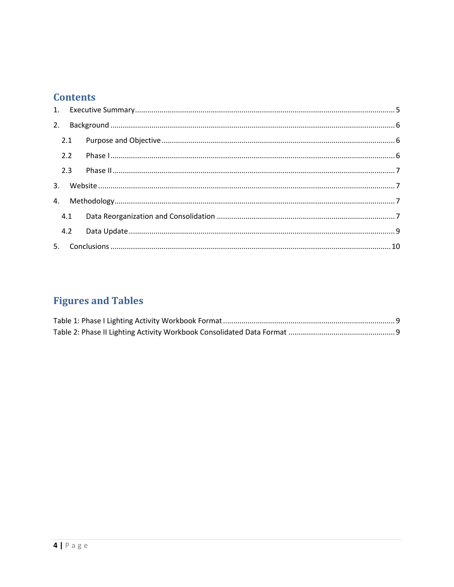### **Contents**

|  | 2.1 |  |  |  |  |  |  |
|--|-----|--|--|--|--|--|--|
|  | 2.2 |  |  |  |  |  |  |
|  | 2.3 |  |  |  |  |  |  |
|  |     |  |  |  |  |  |  |
|  |     |  |  |  |  |  |  |
|  | 4.1 |  |  |  |  |  |  |
|  | 4.2 |  |  |  |  |  |  |
|  |     |  |  |  |  |  |  |

## **Figures and Tables**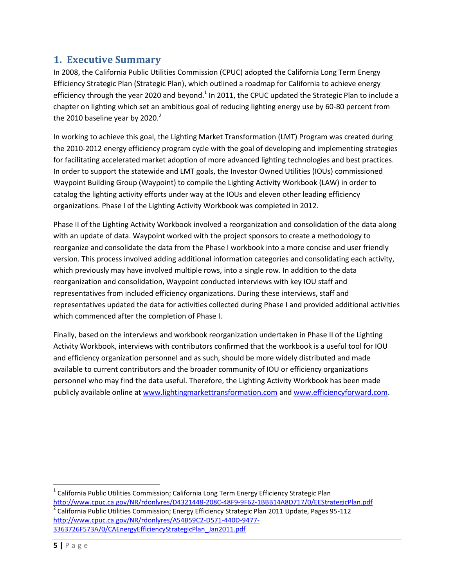#### <span id="page-4-0"></span>**1. Executive Summary**

In 2008, the California Public Utilities Commission (CPUC) adopted the California Long Term Energy Efficiency Strategic Plan (Strategic Plan), which outlined a roadmap for California to achieve energy efficiency through the year 2020 and beyond.<sup>1</sup> In 2011, the CPUC updated the Strategic Plan to include a chapter on lighting which set an ambitious goal of reducing lighting energy use by 60-80 percent from the 2010 baseline year by 2020. $^2$ 

In working to achieve this goal, the Lighting Market Transformation (LMT) Program was created during the 2010-2012 energy efficiency program cycle with the goal of developing and implementing strategies for facilitating accelerated market adoption of more advanced lighting technologies and best practices. In order to support the statewide and LMT goals, the Investor Owned Utilities (IOUs) commissioned Waypoint Building Group (Waypoint) to compile the Lighting Activity Workbook (LAW) in order to catalog the lighting activity efforts under way at the IOUs and eleven other leading efficiency organizations. Phase I of the Lighting Activity Workbook was completed in 2012.

Phase II of the Lighting Activity Workbook involved a reorganization and consolidation of the data along with an update of data. Waypoint worked with the project sponsors to create a methodology to reorganize and consolidate the data from the Phase I workbook into a more concise and user friendly version. This process involved adding additional information categories and consolidating each activity, which previously may have involved multiple rows, into a single row. In addition to the data reorganization and consolidation, Waypoint conducted interviews with key IOU staff and representatives from included efficiency organizations. During these interviews, staff and representatives updated the data for activities collected during Phase I and provided additional activities which commenced after the completion of Phase I.

Finally, based on the interviews and workbook reorganization undertaken in Phase II of the Lighting Activity Workbook, interviews with contributors confirmed that the workbook is a useful tool for IOU and efficiency organization personnel and as such, should be more widely distributed and made available to current contributors and the broader community of IOU or efficiency organizations personnel who may find the data useful. Therefore, the Lighting Activity Workbook has been made publicly available online at [www.lightingmarkettransformation.com](http://www.lightingmarkettransformation.com/) and [www.efficiencyforward.com.](http://www.efficiencyforward.com/)

 $^{\text{1}}$  California Public Utilities Commission; California Long Term Energy Efficiency Strategic Plan <http://www.cpuc.ca.gov/NR/rdonlyres/D4321448-208C-48F9-9F62-1BBB14A8D717/0/EEStrategicPlan.pdf> <sup>2</sup> California Public Utilities Commission; Energy Efficiency Strategic Plan 2011 Update, Pages 95-112 [http://www.cpuc.ca.gov/NR/rdonlyres/A54B59C2-D571-440D-9477-](http://www.cpuc.ca.gov/NR/rdonlyres/A54B59C2-D571-440D-9477-3363726F573A/0/CAEnergyEfficiencyStrategicPlan_Jan2011.pdf) [3363726F573A/0/CAEnergyEfficiencyStrategicPlan\\_Jan2011.pdf](http://www.cpuc.ca.gov/NR/rdonlyres/A54B59C2-D571-440D-9477-3363726F573A/0/CAEnergyEfficiencyStrategicPlan_Jan2011.pdf)

l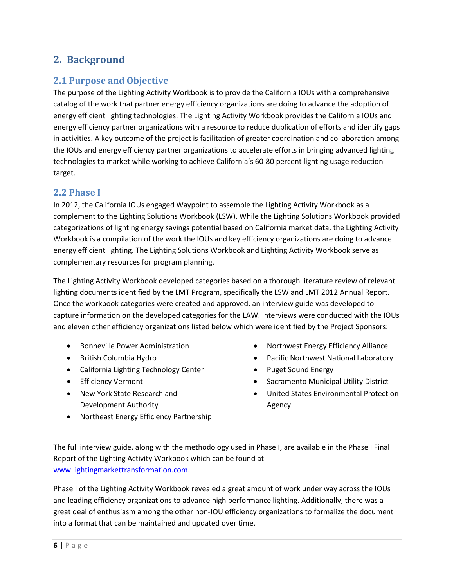### <span id="page-5-0"></span>**2. Background**

#### <span id="page-5-1"></span>**2.1 Purpose and Objective**

The purpose of the Lighting Activity Workbook is to provide the California IOUs with a comprehensive catalog of the work that partner energy efficiency organizations are doing to advance the adoption of energy efficient lighting technologies. The Lighting Activity Workbook provides the California IOUs and energy efficiency partner organizations with a resource to reduce duplication of efforts and identify gaps in activities. A key outcome of the project is facilitation of greater coordination and collaboration among the IOUs and energy efficiency partner organizations to accelerate efforts in bringing advanced lighting technologies to market while working to achieve California's 60-80 percent lighting usage reduction target.

#### <span id="page-5-2"></span>**2.2 Phase I**

In 2012, the California IOUs engaged Waypoint to assemble the Lighting Activity Workbook as a complement to the Lighting Solutions Workbook (LSW). While the Lighting Solutions Workbook provided categorizations of lighting energy savings potential based on California market data, the Lighting Activity Workbook is a compilation of the work the IOUs and key efficiency organizations are doing to advance energy efficient lighting. The Lighting Solutions Workbook and Lighting Activity Workbook serve as complementary resources for program planning.

The Lighting Activity Workbook developed categories based on a thorough literature review of relevant lighting documents identified by the LMT Program, specifically the LSW and LMT 2012 Annual Report. Once the workbook categories were created and approved, an interview guide was developed to capture information on the developed categories for the LAW. Interviews were conducted with the IOUs and eleven other efficiency organizations listed below which were identified by the Project Sponsors:

- Bonneville Power Administration
- **•** British Columbia Hydro
- California Lighting Technology Center
- **•** Efficiency Vermont
- New York State Research and Development Authority
- Northwest Energy Efficiency Alliance
- Pacific Northwest National Laboratory
- Puget Sound Energy
- Sacramento Municipal Utility District
- United States Environmental Protection Agency
- Northeast Energy Efficiency Partnership

The full interview guide, along with the methodology used in Phase I, are available in the Phase I Final Report of the Lighting Activity Workbook which can be found at [www.lightingmarkettransformation.com.](http://www.lightingmarkettransformation.com/)

Phase I of the Lighting Activity Workbook revealed a great amount of work under way across the IOUs and leading efficiency organizations to advance high performance lighting. Additionally, there was a great deal of enthusiasm among the other non-IOU efficiency organizations to formalize the document into a format that can be maintained and updated over time.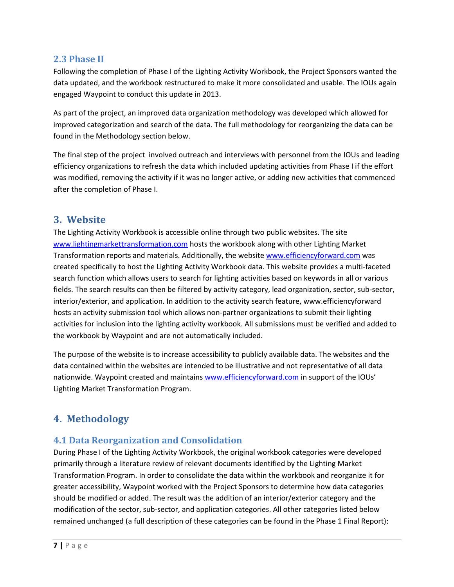#### <span id="page-6-0"></span>**2.3 Phase II**

Following the completion of Phase I of the Lighting Activity Workbook, the Project Sponsors wanted the data updated, and the workbook restructured to make it more consolidated and usable. The IOUs again engaged Waypoint to conduct this update in 2013.

As part of the project, an improved data organization methodology was developed which allowed for improved categorization and search of the data. The full methodology for reorganizing the data can be found in the Methodology section below.

The final step of the project involved outreach and interviews with personnel from the IOUs and leading efficiency organizations to refresh the data which included updating activities from Phase I if the effort was modified, removing the activity if it was no longer active, or adding new activities that commenced after the completion of Phase I.

#### <span id="page-6-1"></span>**3. Website**

The Lighting Activity Workbook is accessible online through two public websites. The site [www.lightingmarkettransformation.com](http://www.lightingmarkettransformation.com/) hosts the workbook along with other Lighting Market Transformation reports and materials. Additionally, the website [www.efficiencyforward.com](http://www.efficiencyforward.com/) was created specifically to host the Lighting Activity Workbook data. This website provides a multi-faceted search function which allows users to search for lighting activities based on keywords in all or various fields. The search results can then be filtered by activity category, lead organization, sector, sub-sector, interior/exterior, and application. In addition to the activity search feature, www.efficiencyforward hosts an activity submission tool which allows non-partner organizations to submit their lighting activities for inclusion into the lighting activity workbook. All submissions must be verified and added to the workbook by Waypoint and are not automatically included.

The purpose of the website is to increase accessibility to publicly available data. The websites and the data contained within the websites are intended to be illustrative and not representative of all data nationwide. Waypoint created and maintains [www.efficiencyforward.com](http://www.efficiencyforward.com/) in support of the IOUs' Lighting Market Transformation Program.

### <span id="page-6-2"></span>**4. Methodology**

#### <span id="page-6-3"></span>**4.1 Data Reorganization and Consolidation**

During Phase I of the Lighting Activity Workbook, the original workbook categories were developed primarily through a literature review of relevant documents identified by the Lighting Market Transformation Program. In order to consolidate the data within the workbook and reorganize it for greater accessibility, Waypoint worked with the Project Sponsors to determine how data categories should be modified or added. The result was the addition of an interior/exterior category and the modification of the sector, sub-sector, and application categories. All other categories listed below remained unchanged (a full description of these categories can be found in the Phase 1 Final Report):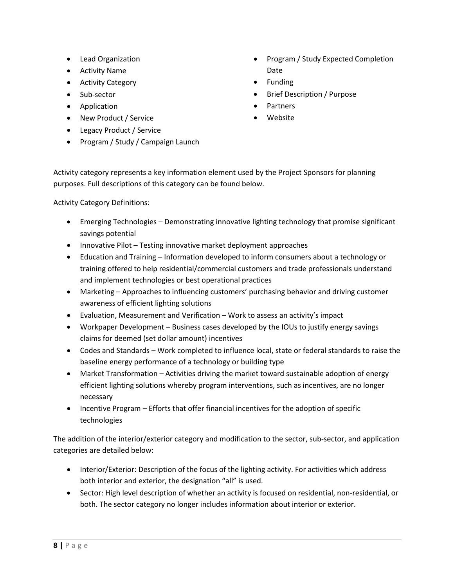- Lead Organization
- Activity Name
- **•** Activity Category
- Sub-sector
- **•** Application
- New Product / Service
- Legacy Product / Service
- Program / Study / Campaign Launch
- Program / Study Expected Completion Date
- Funding
- Brief Description / Purpose
- **Partners**
- Website

Activity category represents a key information element used by the Project Sponsors for planning purposes. Full descriptions of this category can be found below.

Activity Category Definitions:

- Emerging Technologies Demonstrating innovative lighting technology that promise significant savings potential
- Innovative Pilot Testing innovative market deployment approaches
- Education and Training Information developed to inform consumers about a technology or training offered to help residential/commercial customers and trade professionals understand and implement technologies or best operational practices
- Marketing Approaches to influencing customers' purchasing behavior and driving customer awareness of efficient lighting solutions
- Evaluation, Measurement and Verification Work to assess an activity's impact
- Workpaper Development Business cases developed by the IOUs to justify energy savings claims for deemed (set dollar amount) incentives
- Codes and Standards Work completed to influence local, state or federal standards to raise the baseline energy performance of a technology or building type
- Market Transformation Activities driving the market toward sustainable adoption of energy efficient lighting solutions whereby program interventions, such as incentives, are no longer necessary
- Incentive Program Efforts that offer financial incentives for the adoption of specific technologies

The addition of the interior/exterior category and modification to the sector, sub-sector, and application categories are detailed below:

- Interior/Exterior: Description of the focus of the lighting activity. For activities which address both interior and exterior, the designation "all" is used.
- Sector: High level description of whether an activity is focused on residential, non-residential, or both. The sector category no longer includes information about interior or exterior.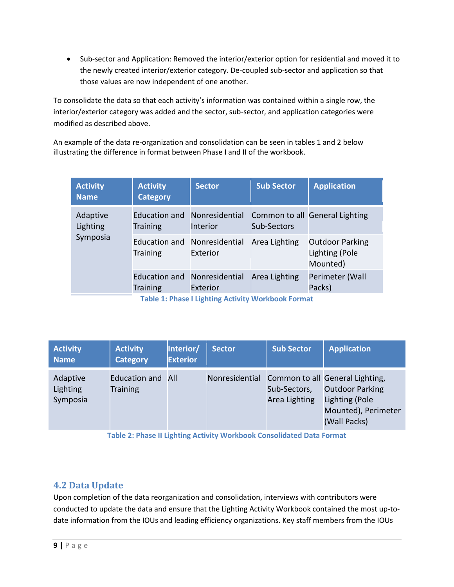Sub-sector and Application: Removed the interior/exterior option for residential and moved it to the newly created interior/exterior category. De-coupled sub-sector and application so that those values are now independent of one another.

To consolidate the data so that each activity's information was contained within a single row, the interior/exterior category was added and the sector, sub-sector, and application categories were modified as described above.

An example of the data re-organization and consolidation can be seen in tables 1 and 2 below illustrating the difference in format between Phase I and II of the workbook.

| <b>Activity</b><br><b>Name</b>                    | <b>Activity</b><br><b>Category</b>              | <b>Sector</b>              | <b>Sub Sector</b> | <b>Application</b>                                   |  |  |  |  |  |
|---------------------------------------------------|-------------------------------------------------|----------------------------|-------------------|------------------------------------------------------|--|--|--|--|--|
| Adaptive<br>Lighting                              | Education and<br><b>Training</b>                | Nonresidential<br>Interior | Sub-Sectors       | Common to all General Lighting                       |  |  |  |  |  |
| Symposia                                          | Education and Nonresidential<br><b>Training</b> | Exterior                   | Area Lighting     | <b>Outdoor Parking</b><br>Lighting (Pole<br>Mounted) |  |  |  |  |  |
|                                                   | Education and Nonresidential<br><b>Training</b> | Exterior                   | Area Lighting     | Perimeter (Wall<br>Packs)                            |  |  |  |  |  |
| Table 1: Phase Llighting Activity Workhook Format |                                                 |                            |                   |                                                      |  |  |  |  |  |

**Table 1: Phase I Lighting Activity Workbook Format**

<span id="page-8-1"></span>

| <b>Activity</b><br><b>Name</b>   | <b>Activity</b><br><b>Category</b> | Interior/<br><b>Exterior</b> | <b>Sector</b>  | <b>Sub Sector</b>             | <b>Application</b>                                                                                                        |
|----------------------------------|------------------------------------|------------------------------|----------------|-------------------------------|---------------------------------------------------------------------------------------------------------------------------|
| Adaptive<br>Lighting<br>Symposia | Education and<br><b>Training</b>   | All                          | Nonresidential | Sub-Sectors,<br>Area Lighting | Common to all General Lighting,<br><b>Outdoor Parking</b><br><b>Lighting (Pole</b><br>Mounted), Perimeter<br>(Wall Packs) |

**Table 2: Phase II Lighting Activity Workbook Consolidated Data Format**

#### <span id="page-8-2"></span><span id="page-8-0"></span>**4.2 Data Update**

Upon completion of the data reorganization and consolidation, interviews with contributors were conducted to update the data and ensure that the Lighting Activity Workbook contained the most up-todate information from the IOUs and leading efficiency organizations. Key staff members from the IOUs